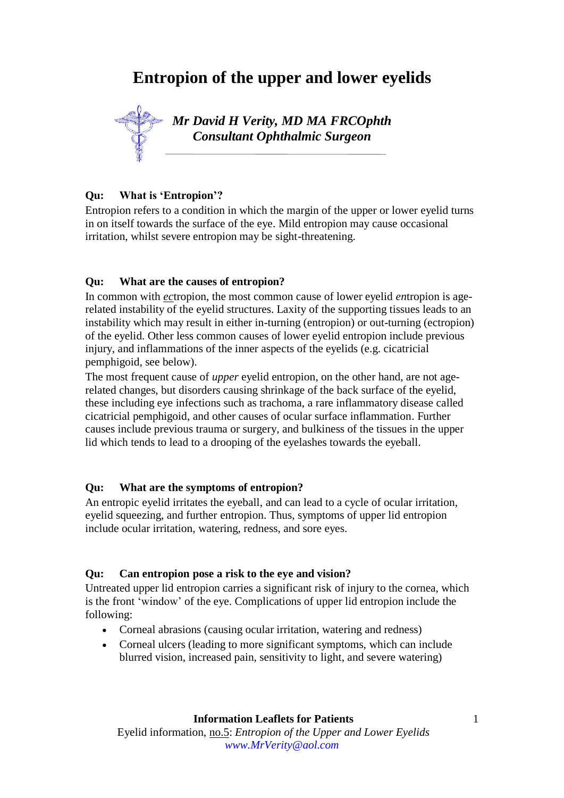# **Entropion of the upper and lower eyelids**



## **Qu: What is 'Entropion'?**

Entropion refers to a condition in which the margin of the upper or lower eyelid turns in on itself towards the surface of the eye. Mild entropion may cause occasional irritation, whilst severe entropion may be sight-threatening.

## **Qu: What are the causes of entropion?**

In common with *ec*tropion, the most common cause of lower eyelid *en*tropion is agerelated instability of the eyelid structures. Laxity of the supporting tissues leads to an instability which may result in either in-turning (entropion) or out-turning (ectropion) of the eyelid. Other less common causes of lower eyelid entropion include previous injury, and inflammations of the inner aspects of the eyelids (e.g. cicatricial pemphigoid, see below).

The most frequent cause of *upper* eyelid entropion, on the other hand, are not agerelated changes, but disorders causing shrinkage of the back surface of the eyelid, these including eye infections such as trachoma, a rare inflammatory disease called cicatricial pemphigoid, and other causes of ocular surface inflammation. Further causes include previous trauma or surgery, and bulkiness of the tissues in the upper lid which tends to lead to a drooping of the eyelashes towards the eyeball.

## **Qu: What are the symptoms of entropion?**

An entropic eyelid irritates the eyeball, and can lead to a cycle of ocular irritation, eyelid squeezing, and further entropion. Thus, symptoms of upper lid entropion include ocular irritation, watering, redness, and sore eyes.

## **Qu: Can entropion pose a risk to the eye and vision?**

Untreated upper lid entropion carries a significant risk of injury to the cornea, which is the front 'window' of the eye. Complications of upper lid entropion include the following:

- Corneal abrasions (causing ocular irritation, watering and redness)
- Corneal ulcers (leading to more significant symptoms, which can include blurred vision, increased pain, sensitivity to light, and severe watering)

**Information Leaflets for Patients** Eyelid information, no.5: *Entropion of the Upper and Lower Eyelids www.MrVerity@aol.com*

1